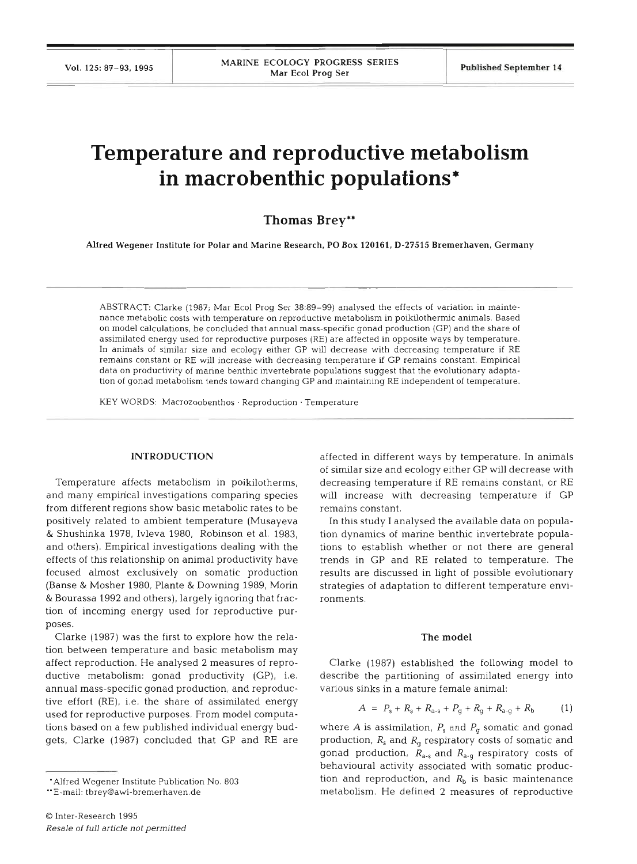# **Temperature and reproductive metabolism in macrobenthic populations\***

# **Thomas Brey\*\***

Alfred Wegener Institute for Polar and Marine Research, PO Box **120161, D-27515** Bremerhaven, Germany

ABSTRACT: Clarke (1987; Mar Ecol Prog Ser 38:89-99) analysed the effects of variation in maintenance metabolic costs with temperature on reproductive metabolism in poikilotherrnic animals. Based on model calculations, he concluded that annual mass-speclfic gonad production (GP) and the share of assimilated energy used for reproductive purposes (RE) are affected in opposite ways by temperature. In animals of similar size and ecology either GP will decrease with decreasing temperature if RE remains constant or RE will increase with decreasing temperature **If** GP remains constant. Empirical data on productivity of marine benthic invertebrate populations suggest that the evolutionary adaptation of gonad metabolism tends toward changing GP and maintaining RE independent of temperature.

KEY WORDS: Macrozoobenthos . Reproduction . Temperature

## **INTRODUCTION**

Temperature affects metabolism in poikilotherms, and many empirical investigations comparing species from different regions show basic metabolic rates to be positively related to ambient temperature (Musayeva & Shushinka 1978, Ivleva 1980, Robinson et al. 1983, and others). Empirical investigations dealing with the effects of this relationship on animal productivity have focused almost exclusively on somatic production (Banse & Mosher 1980, Plante & Downing 1989, Morin & Bourassa 1992 and others), largely ignoring that fraction of incoming energy used for reproductive purposes.

Clarke (1987) was the first to explore how the relation between temperature and basic metabolism may affect reproduction. He analysed **2** measures of reproductive metabolism: gonad productivity (GP), i.e. annual mass-specific gonad production, and reproductive effort (RE), i.e. the share of assimilated energy used for reproductive purposes. From model computations based on a few published individual energy budgets, Clarke (1987) concluded that GP and RE are

affected in different ways by temperature. In animals of similar size and ecology either GP will decrease with decreasing temperature if RE remains constant, or RE will increase with decreasing temperature if GP remains constant.

In this study I analysed the available data on population dynamics of marine benthic invertebrate populations to establish whether or not there are general trends in GP and RE related to temperature. The results are discussed in light of possible evolutionary strategies of adaptation to different temperature environments.

### The **model**

Clarke (1987) established the following model to describe the partitioning of assimilated energy into various sinks in a mature female animal:

$$
A = P_{s} + R_{s} + R_{a-s} + P_{q} + R_{q} + R_{a-q} + R_{b} \tag{1}
$$

where  $A$  is assimilation,  $P_s$  and  $P_q$  somatic and gonad production, *R,* and *R,* respiratory costs of somatic and gonad production, *R,.,* and *Rd.g* respiratory costs of behavioural activity associated with somatic production and reproduction, and  $R<sub>b</sub>$  is basic maintenance metabolism. He defined 2 measures of reproductive

<sup>&#</sup>x27;Alfred Wegener Institute Publication No. **<sup>803</sup>**

<sup>&</sup>quot;E-mail: **tbrey@awi-bremerhaven.de**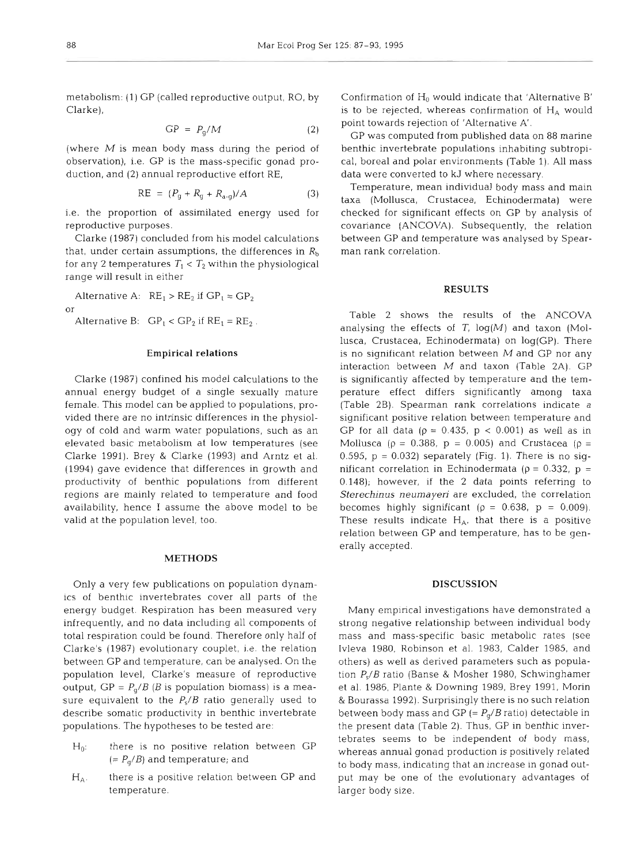metabolism: (1) GP (called reproductive output, RO, by Clarke),

$$
GP = P_q/M \tag{2}
$$

(where  $M$  is mean body mass during the period of observation), i.e. GP is the mass-specific gonad production, and (2) annual reproductive effort RE,

$$
RE = (P_g + R_g + R_{a \cdot g})/A \tag{3}
$$

i.e. the proportion of assimilated energy used for reproductive purposes.

Clarke (1987) concluded from his model calculations that, under certain assumptions, the differences in  $R<sub>b</sub>$ for any 2 temperatures  $T_1 < T_2$  within the physiological range will result in either

Alternative A:  $RE_1 > RE_2$  if  $GP_1 = GP_2$ or

Alternative B:  $GP_1 < GP_2$  if  $RE_1 = RE_2$ .

# **Empirical relations**

Clarke (1987) confined his model calculations to the annual energy budget of a single sexually mature female. This model can be applied to populations, provided there are no intrinsic differences in the physiology of cold and warm water populations, such as an elevated basic metabolism at low temperatures (see Clarke 1991). Brey & Clarke (1993) and Arntz et al. (1994) gave evidence that differences in growth and productivity of benthic populations from different regions are mainly related to temperature and food availability, hence I assume the above model to be valid at the population level, too.

## **METHODS**

Only a very few publications on population dynamics of benthic invertebrates cover all parts of the energy budget. Respiration has been measured very infrequently, and no data including all components of total respiration could be found. Therefore only half of Clarke's (1987) evolutionary couplet, i.e. the relation between GP and temperature, can be analysed. On the population level, Clarke's measure of reproductive putput, GP =  $P_g/B$  (*B* is population biomass) is a measure equivalent to the  $P_s/B$  ratio generally used to describe somatic productivity in benthic invertebrate populations. The hypotheses to be tested are:

- $H_0$ : there is no positive relation between GP  $(= P_q/B)$  and temperature; and
- $H_A$ . there is a positive relation between GP and temperature.

Confirmation of  $H_0$  would indicate that 'Alternative B' is to be rejected, whereas confirmation of  $H_A$  would point towards rejection of 'Alternative A'.

GP was computed from published data on 88 marine benthic invertebrate populations inhabiting subtropical, boreal and polar environments (Table 1). All mass data were converted to kJ where necessary.

Temperature, mean individual body mass and main taxa (Mollusca, Crustacea, Echinodermata) were checked for significant effects on GP by analysis of covariance (ANCOVA). Subsequently, the relation between GP and temperature was analysed by Spearman rank correlation.

# **RESULTS**

Table 2 shows the results of the ANCOVA analysing the effects of *T,* log(M) and taxon (Mollusca, Crustacea, Echinodermata) on log(GP). There is no significant relation between  $M$  and GP nor any interaction between  $M$  and taxon (Table 2A). GP is significantly affected by temperature and the temperature effect differs significantly among taxa (Table 2B). Spearman rank correlations indicate a significant positive relation between temperature and GP for all data ( $p = 0.435$ ,  $p < 0.001$ ) as well as in Mollusca ( $\rho = 0.388$ ,  $p = 0.005$ ) and Crustacea ( $\rho =$ 0.595,  $p = 0.032$ ) separately (Fig. 1). There is no significant correlation in Echinodermata ( $\rho = 0.332$ ,  $p =$ 0.148); however, if the 2 data points referring to **Sterechinus** neumayen are excluded, the correlation becomes highly significant ( $\rho = 0.638$ ,  $p = 0.009$ ). These results indicate  $H_A$ , that there is a positive relation between GP and temperature, has to be generally accepted.

# **DISCUSSION**

Many empirical investigations have demonstrated a strong negative relationship between individual body mass and mass-specific basic metabolic rates (see Ivleva 1980, Robinson et al. 1983, Calder 1985, and others) as well as derived parameters such as population  $P_s/B$  ratio (Banse & Mosher 1980, Schwinghamer et al. 1986, Plante & Downing 1989, Brey 1991, Morin & Bourassa 1992). Surprisingly there is no such relation between body mass and GP (=  $P_g/B$  ratio) detectable in the present data (Table 2). Thus, GP in benthic invertebrates seems to be independent of body mass, whereas annual gonad production is positively related to body mass, indicating that an increase in gonad output may be one of the evolutionary advantages of larger body size.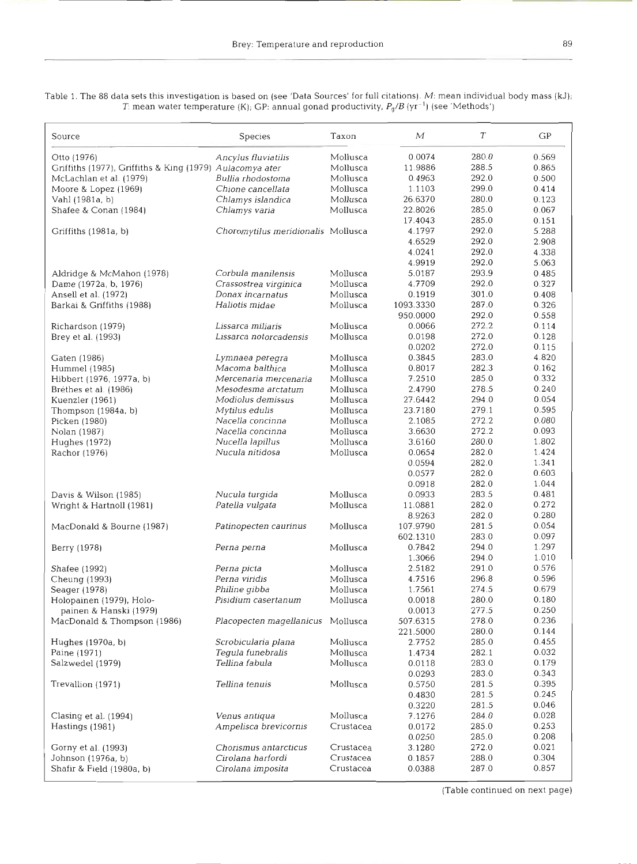| Source                                                   | <b>Species</b>                      | Taxon     | М                | T              | GР             |
|----------------------------------------------------------|-------------------------------------|-----------|------------------|----------------|----------------|
| Otto (1976)                                              | Ancylus fluviatilis                 | Mollusca  | 0.0074           | 280.0          | 0.569          |
| Griffiths (1977), Griffiths & King (1979) Aulacomya ater |                                     | Mollusca  | 11.9886          | 288.5          | 0.865          |
| McLachlan et al. (1979)                                  | Bullia rhodostoma                   | Mollusca  | 0.4963           | 292.0          | 0.500          |
| Moore & Lopez (1969)                                     | Chione cancellata                   | Mollusca  | 1.1103           | 299.0          | 0.414          |
| Vahl (1981a, b)                                          | Chlamys islandica                   | Mollusca  | 26.6370          | 280.0          | 0.123          |
| Shafee & Conan (1984)                                    | Chlamys varia                       | Mollusca  | 22.8026          | 285.0          | 0.067          |
|                                                          |                                     |           | 17.4043          | 285.0          | 0.151          |
| Griffiths (1981a, b)                                     | Choromytilus meridionalis Mollusca  |           | 4.1797           | 292.0          | 5.288          |
|                                                          |                                     |           | 4.6529           | 292.0          | 2.908          |
|                                                          |                                     |           | 4.0241           | 292.0          | 4.338          |
|                                                          |                                     |           | 4.9919           | 292.0          | 5.063          |
| Aldridge & McMahon (1978)                                | Corbula manilensis                  | Mollusca  | 5.0187           | 293.9          | 0.485          |
| Dame (1972a, b, 1976)                                    | Crassostrea virginica               | Mollusca  | 4.7709           | 292.0          | 0.327          |
| Ansell et al. (1972)                                     | Donax incarnatus                    | Mollusca  | 0.1919           | 301.0          | 0.408          |
| Barkai & Griffiths (1988)                                | Haliotis midae                      | Mollusca  | 1093.3330        | 287.0          | 0.326          |
|                                                          |                                     |           | 950.0000         | 292.0          | 0.558          |
| Richardson (1979)                                        | Lissarca miliaris                   | Mollusca  | 0.0066           | 272.2          | 0.114          |
| Brey et al. (1993)                                       | Lissarca notorcadensis              | Mollusca  | 0.0198           | 272.0          | 0.128          |
|                                                          |                                     |           | 0.0202           | 272.0          | 0.115          |
| Gaten (1986)                                             | Lymnaea peregra                     | Mollusca  | 0.3845           | 283.0          | 4.820          |
| Hummel (1985)                                            | Macoma balthica                     | Mollusca  | 0.8017           | 282.3          | 0.162          |
| Hibbert (1976, 1977a, b)                                 | Mercenaria mercenaria               | Mollusca  | 7.2510           | 285.0          | 0.332          |
| Bréthes et al. (1986)                                    | Mesodesma arctatum                  | Mollusca  | 2.4790           | 278.5          | 0.240          |
| Kuenzler (1961)                                          | Modiolus demissus                   | Mollusca  | 27.6442          | 294.0          | 0.054          |
| Thompson (1984a, b)                                      | Mytilus edulis                      | Mollusca  | 23.7180          | 279.1          | 0.595          |
| Picken (1980)                                            | Nacella concinna                    | Mollusca  | 2.1085           | 272.2          | 0.080          |
| Nolan (1987)                                             | Nacella concinna                    | Mollusca  | 3.6630           | 272.2          | 0.093          |
| Hughes (1972)                                            | Nucella lapillus                    | Mollusca  | 3.6160           | 280.0          | 1.802          |
| Rachor (1976)                                            | Nucula nitidosa                     | Mollusca  | 0.0654           | 282.0          | 1.424          |
|                                                          |                                     |           | 0.0594           | 282.0          | 1.341          |
|                                                          |                                     |           | 0.0577           | 282.0          | 0.603          |
|                                                          |                                     |           | 0.0918           | 282.0          | 1.044          |
| Davis & Wilson (1985)                                    | Nucula turgida                      | Mollusca  | 0.0933           | 283.5          | 0.481          |
| Wright & Hartnoll (1981)                                 | Patella vulgata                     | Mollusca  | 11.0881          | 282.0          | 0.272          |
|                                                          |                                     |           | 8.9263           | 282.0          | 0.280          |
| MacDonald & Bourne (1987)                                | Patinopecten caurinus               | Mollusca  | 107.9790         | 281.5          | 0.054          |
|                                                          |                                     |           | 602.1310         | 283.0          | 0.097          |
| Berry (1978)                                             |                                     | Mollusca  | 0.7842           | 294.0          | 1.297          |
|                                                          | Perna perna                         |           | 1.3066           | 294.0          |                |
| Shafee (1992)                                            | Perna picta                         | Mollusca  | 2.5182           | 291.0          | 1.010<br>0.576 |
| Cheung (1993)                                            | Perna viridis                       | Mollusca  |                  |                |                |
| Seager (1978)                                            | Philine gibba                       | Mollusca  | 4.7516<br>1.7561 | 296.8<br>274.5 | 0.596<br>0.679 |
|                                                          | Pisidium casertanum                 | Mollusca  | 0.0018           |                |                |
| Holopainen (1979), Holo-<br>painen & Hanski (1979)       |                                     |           |                  | 280.0          | 0.180          |
|                                                          |                                     |           | 0.0013           | 277.5          | 0.250          |
| MacDonald & Thompson (1986)                              | Placopecten magellanicus Mollusca   |           | 507.6315         | 278.0          | 0.236          |
| Hughes (1970a, b)                                        |                                     | Mollusca  | 221.5000         | 280.0          | 0.144          |
| Paine (1971)                                             | Scrobicularia plana                 |           | 2.7752           | 285.0          | 0.455          |
| Salzwedel (1979)                                         | Tegula funebralis<br>Tellina fabula | Mollusca  | 1.4734           | 282.1<br>283.0 | 0.032          |
|                                                          |                                     | Mollusca  | 0.0118           |                | 0.179          |
| Trevallion (1971)                                        | Tellina tenuis                      | Mollusca  | 0.0293           | 283.0          | 0.343          |
|                                                          |                                     |           | 0.5750           | 281.5          | 0.395          |
|                                                          |                                     |           | 0.4830           | 281.5          | 0.245          |
|                                                          |                                     |           | 0.3220           | 281.5          | 0.046          |
| Clasing et al. (1994)                                    | Venus antiqua                       | Mollusca  | 7.1276           | 284.0          | 0.028          |
| Hastings (1981)                                          | Ampelisca brevicornis               | Crustacea | 0.0172           | 285.0          | 0.253          |
|                                                          |                                     |           | 0.0250           | 285.0          | 0.208          |
| Gorny et al. (1993)                                      | Chorismus antarcticus               | Crustacea | 3.1280           | 272.0          | 0.021          |
| Johnson (1976a, b)                                       | Cirolana harfordi                   | Crustacea | 0.1857           | 288.0          | 0.304          |
| Shafir & Field (1980a, b)                                | Cirolana imposita                   | Crustacea | 0.0388           | 287.0          | 0.857          |

Table 1. The 88 data sets this investigation is based on (see 'Data Sources' for full citations). M: mean individual body mass **(kJ);**  T: mean water temperature  $\{K\}$ ; GP: annual gonad productivity,  $P_g/B$   $(\gamma r^{-1})$  (see 'Methods')

(Table continued on next page)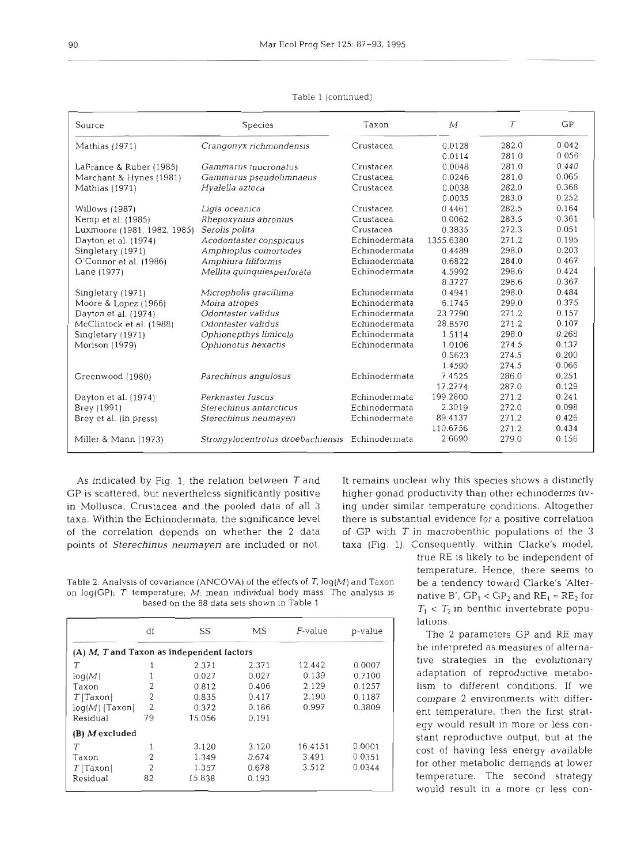| Source                      | Species                                         | Taxon         | $\mathcal M$ | $\tau$ | GP    |
|-----------------------------|-------------------------------------------------|---------------|--------------|--------|-------|
| Mathias (1971)              | Crangonyx richmondensis                         | Crustacea     | 0.0128       | 282.0  | 0.042 |
|                             |                                                 |               | 0.0114       | 281.0  | 0.056 |
| LaFrance & Ruber (1985)     | Gammarus mucronatus                             | Crustacea     | 0.0048       | 281.0  | 0.440 |
| Marchant & Hynes (1981)     | Gammarus pseudolimnaeus                         | Crustacea     | 0.0246       | 281.0  | 0.065 |
| Mathias (1971)              | Hyalella azteca                                 | Crustacea     | 0.0038       | 282.0  | 0.368 |
|                             |                                                 |               | 0.0035       | 283.0  | 0.252 |
| Willows (1987)              | Ligia oceanica                                  | Crustacea     | 0.4461       | 282.5  | 0.164 |
| Kemp et al. (1985)          | Rhepoxynius abronius                            | Crustacea     | 0.0062       | 283.5  | 0.361 |
| Luxmoore (1981, 1982, 1985) | Serolis polita                                  | Crustacea     | 0.3835       | 272.3  | 0.051 |
| Dayton et al. (1974)        | Acodontaster conspicuus                         | Echinodermata | 1355.6380    | 271.2  | 0.195 |
| Singletary (1971)           | Amphioplus coinortodes                          | Echinodermata | 0.4489       | 298.0  | 0.203 |
| O'Connor et al. (1986)      | Amphiura filiformis                             | Echinodermata | 0.6822       | 284.0  | 0.467 |
| Lane (1977)                 | Mellita quinquiesperforata                      | Echinodermata | 4.5992       | 298.6  | 0.424 |
|                             |                                                 |               | 8.3727       | 298.6  | 0.367 |
| Singletary (1971)           | Micropholis gracillima                          | Echinodermata | 0.4941       | 298.0  | 0.484 |
| Moore & Lopez (1966)        | Moira atropes                                   | Echinodermata | 6.1745       | 299.0  | 0.375 |
| Dayton et al. (1974)        | Odontaster validus                              | Echinodermata | 23.7790      | 271.2  | 0.157 |
| McClintock et al. (1988)    | Odontaster validus                              | Echinodermata | 28.8570      | 271.2  | 0.107 |
| Singletary (1971)           | Ophionepthys limicola                           | Echinodermata | 1.5114       | 298.0  | 0.268 |
| Morison (1979)              | Ophionotus hexactis                             | Echinodermata | 1.0106       | 274.5  | 0.137 |
|                             |                                                 |               | 0.5623       | 274.5  | 0.200 |
|                             |                                                 |               | 1.4590       | 274.5  | 0.066 |
| Greenwood (1980)            | Parechinus angulosus                            | Echinodermata | 7.4525       | 286.0  | 0.251 |
|                             |                                                 |               | 17.2774      | 287.0  | 0.129 |
| Dayton et al. (1974)        | Perknaster fuscus                               | Echinodermata | 199.2800     | 271.2  | 0.241 |
| Brey (1991)                 | Sterechinus antarcticus                         | Echinodermata | 2.3019       | 272.0  | 0.098 |
| Brey et al. (in press)      | Sterechinus neumayeri                           | Echinodermata | 89.4137      | 271.2  | 0.426 |
|                             |                                                 |               | 110.6756     | 271.2  | 0.434 |
| Miller & Mann (1973)        | Strongylocentrotus droebachiensis Echinodermata |               | 2.6690       | 279.0  | 0.156 |

## Table l (continued)

GP is scattered, but nevertheless significantly positive higher gonad productivity than other echinoderms livin Mollusca, Crustacea and the pooled data of all **3** ing under similar temperature conditions. Altogether taxa. Within the Echinodermata, the significance level there is substantial evidence for a positive correlation of the correlation depends on whether the 2 data of GP with  $T$  in macrobenthic populations of the 3 points of Sterechinus neumayeri are included or not. taxa (Fig. 1). Consequently, within Clarke's model,

As indicated by Fig. 1, the relation between  $T$  and It remains unclear why this species shows a distinctly

Table 2. Analysis of covariance (ANCOVA) of the effects of *T,* log(M) and Taxon on log(GP); *T* temperature; *M*: mean individual body mass. The analysis is based on the 88 data sets shown in Table 1

|                                                            | df             | SS     | МS    | $F$ -value | p-value |  |  |  |
|------------------------------------------------------------|----------------|--------|-------|------------|---------|--|--|--|
| $(A)$ <i>M</i> , <i>T</i> and Taxon as independent factors |                |        |       |            |         |  |  |  |
| T                                                          |                | 2.371  | 2.371 | 12.442     | 0.0007  |  |  |  |
| log(M)                                                     |                | 0.027  | 0.027 | 0.139      | 0.7100  |  |  |  |
| Taxon                                                      | 2              | 0.812  | 0.406 | 2.129      | 0.1257  |  |  |  |
| $T$ [Taxon]                                                | 2              | 0.835  | 0.417 | 2.190      | 0.1187  |  |  |  |
| $log(M)$ [Taxon]                                           | $\overline{2}$ | 0.372  | 0.186 | 0.997      | 0.3809  |  |  |  |
| Residual                                                   | 79             | 15.056 | 0.191 |            |         |  |  |  |
| (B) Mexcluded                                              |                |        |       |            |         |  |  |  |
| $\tau$                                                     | 1              | 3.120  | 3.120 | 16.4151    | 0.0001  |  |  |  |
| Taxon                                                      | $\overline{2}$ | 1.349  | 0.674 | 3.491      | 0.0351  |  |  |  |
| $T$ [Taxon]                                                | $\overline{2}$ | 1.357  | 0.678 | 3.512      | 0.0344  |  |  |  |
| Residual                                                   | 82             | 15.838 | 0.193 |            |         |  |  |  |

true RE is likely to be independent of temperature. Hence, there seems to be a tendency toward Clarke's 'Alternative B',  $GP_1 < GP_2$  and  $RE_1 \approx RE_2$  for  $T_1 < T_2$  in benthic invertebrate populations.

The 2 parameters GP and RE may be interpreted as measures of alternative strategies in the evolutionary adaptation of reproductive metabolism to different conditions. If we compare 2 environments with different temperature, then the first strategy would result in more or less constant reproductive output, but at the cost of having less energy available for other metabolic demands at lower temperature. The second strategy would result in a more or less con-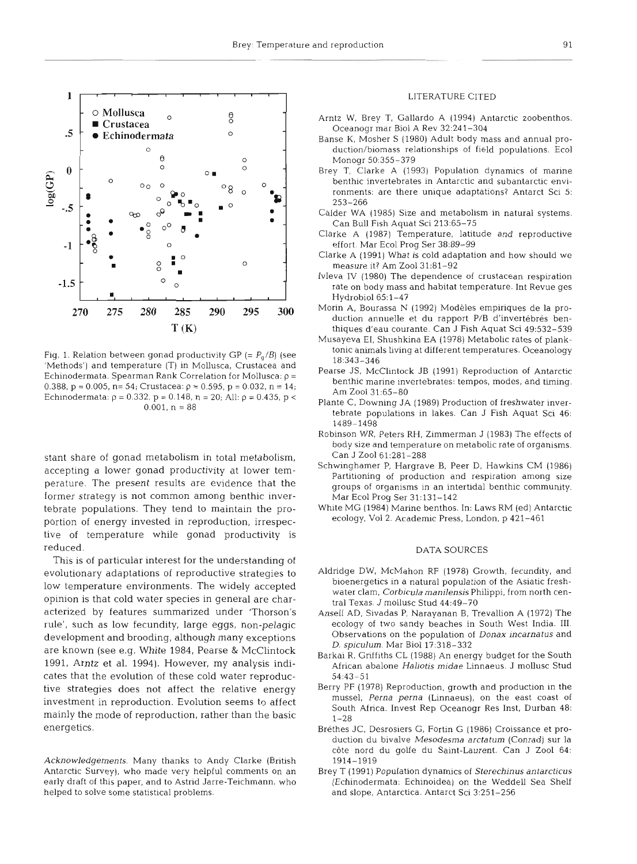

Fig. 1. Relation between gonad productivity GP  $(= P_q/B)$  (see 'Methods') and temperature (T) in Mollusca, Crustacea and Echinodermata. Spearman Rank Correlation for Mollusca:  $\rho =$ 0.388,  $p = 0.005$ ,  $n = 54$ ; Crustacea:  $p = 0.595$ ,  $p = 0.032$ ,  $n = 14$ ; Echinodermata:  $p = 0.332$ ,  $p = 0.148$ ,  $n = 20$ ; All:  $p = 0.435$ ,  $p <$  $0.001. n = 88$ 

stant share of gonad metabolism in total metabolism, accepting a lower gonad productivity at lower temperature. The present results are evidence that the former strategy is not common among benthic invertebrate populations. They tend to maintain the proportion of energy invested in reproduction, irrespective of temperature while gonad productivity is reduced.

This is of particular interest for the understanding of evolutionary adaptations of reproductive strategies to low temperature environments. The widely accepted opinion is that cold water species in general are characterized by features summarized under 'Thorson's rule', such as low fecundity, large eggs, non-pelagic development and brooding, although many exceptions are known (see e.g. White 1984, Pearse & McClintock 1991, Arntz et al. 1994). However, my analysis indicates that the evolution of these cold water reproductive strategies does not affect the relative energy investment in reproduction. Evolution seems to affect mainly the mode of reproduction, rather than the basic energetics.

Acknowledgements. Many thanks to Andy Clarke (British Antarctic Survey), who made very helpful comments on an early draft of this paper, and to Astnd Jarre-Teichmann, who helped to solve some statistical problems.

#### LITERATURE CITED

- Arntz W. Brey T, Gallardo A (1994) Antarctic zoobenthos. Oceanogr mar Biol A Rev 32:241-304
- Banse K, Mosher S (1980) Adult body mass and annual production/biomass relationships of field populations. Ecol Monogr 50:355-379
- Brey T, Clarke A (1993) Population dynamics of marine benthic invertebrates in Antarctic and subantarctic environments: are there unlque adaptations? Antarct Sci 5:  $253 - 266$
- Calder WA (1985) Size and metabolism in natural systems. Can Bull Fish Aquat Sci 213:65-75
- Clarke A (1987) Temperature, latitude and reproductive effort. Mar Ecol Prog Ser 38:89-99
- Clarke A (1991) What is cold adaptation and how should we measure it? Am Zool 31:81-92
- Ivleva IV (1980) The dependence of crustacean respiration rate on body mass and habitat temperature. Int Revue ges Hydrobiol 65:1-47
- Morin A. Bourassa N (1992) Modeles empiriques de la production annuelle et du rapport P/B d'invertébrés benthiques d'eau courante. Can J Fish Aquat Sci 49:532-539
- Musayeva EI, Shushkina EA (1978) Metabolic rates of planktonic animals living at different temperatures. Oceanology 18:343-346
- Pearse JS, McClintock JB (1991) Reproduction of Antarctic benthic marine invertebrates: tempos, modes, and timing. Am Zool 31:65-80
- Plante C, Downing JA (1989) Production of freshwater invertebrate populations in lakes. Can J Fish Aquat Sci 46: 1489-1498
- Robinson WR, Peters RH, Zimmerman J (1983) The effects of body size and temperature on metabolic rate of organisms. Can J Zool 61:281-288
- Schwinghamer P, Hargrave B, Peer D, Hawkins CM (1986) Partitioning of production and respiration among size groups of organisms in an intertidal benthic community. Mar Ecol Prog Ser 31:131-142
- White MG (1984) Marine benthos. In: Laws RM (ed) Antarctic ecology. Vol2. Academic Press. London, p 421-461

#### DATA SOURCES

- Aldridge DW, McMahon RF (1978) Growth, fecundity, and bioenergetics in a natural population of the Asiatic freshwater clam, Corbicula manilensis Philippi, from north central Texas. J mollusc Stud 44:49-70
- Ansell AD, Sivadas P, Narayanan B, Trevallion A (1972) The ecology of two sandy beaches in South West India. III. Observations on the population of Donax incarnatus and D. splculum. Mar Biol 17:318-332
- Barkai R. Gnffiths CL (1988) An energy budget for the South African abalone Haliotis midae Linnaeus. J mollusc Stud 54:43-51
- Berry PF (1978) Reproduction, growth and production in the mussel, Perna perna (Linnaeus), on the east coast of South Africa. Invest Rep Oceanogr Res Inst, Durban 48:  $1 - 28$
- Bréthes JC, Desrosiers G, Fortin G (1986) Croissance et production du bivalve Mesodesma arctatum (Conrad) sur la côte nord du golfe du Saint-Laurent. Can J Zool 64: 1914-1919
- Brey T (1991) Population dynamics of Sterechinus antarcticus (Echinodermata: Echinoidea) on the Weddell Sea Shelf and slope, Antarctica. Antarct Sci 3:251-256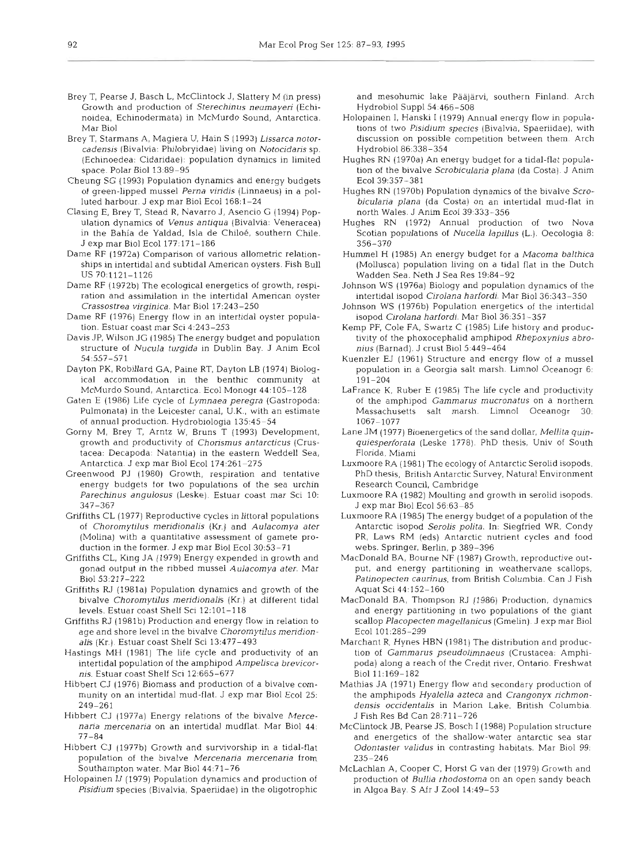- Brey T, Pearse J, Basch L, McClintock J, Slattery M (in press) Growth and production of *Sterechinus neumayen* (Echinoidea, Echinodermata) in McMurdo Sound, Antarctica. Mar Biol
- Brey T, Starmans A, Magiera U, Hain S (1993) *Lissarca notorcadensis* (Bivalvia: Philobryidae) living on *Notocidaris* sp. (Echinoedea: Cidaridae): population dynamics in limited space. Polar Biol 13:89-95
- Cheung SG (1993) Population dynamics and energy budgets ot green-lipped mussel *Perna vindis* (Linnaeus) in a polluted harbour. J exp mar Biol Ecol 168:1-24
- Clasing E, Brey T, Stead R, Navarro J, Asencio G (1994) Population dynamics of *Venus antiqua* (Bivalvia: Veneracea) in the Bahía de Yaldad, Isla de Chiloé, southern Chile. J exp mar Biol Ecol 177:171-186
- Dame RF (1972a) Comparison of various allometric relationships in intertidal and subtidal American oysters. Fish Bull US 70:1121-1126
- Dame RF (1972b) The ecological energetics of growth, respiration and asslnulation in the intertidal American oyster *Crassostrea virginica.* Mar Biol 17:243-250
- Dame RF (1976) Energy flow in an intertidal oyster population. Estuar coast mar Sci 4:243-253
- Davis JP, Wilson JG (1985) The energy budget and population structure of *Nucula turgida* in Dublin Bay. J Anim Ecol 54:557-571
- Dayton PK, Roblllard GA, Paine RT, Dayton LB (1974) Biological accommodation in the benthic community at McMurdo Sound, Antarctica. Ecol Monogr 44:105-128
- Gaten E (1986) Life cycle of *Lymnaea peregra* (Gastropoda: Pulmonata) in the Leicester canal, U.K., with an estimate of annual production. Hydrobiologia 135:45-54
- Gorny M, Brey T, Arntz W, Bruns T (1993) Development, growth and productivity of *Chorismus antarcticus* (Crustacea: Decapoda: Natantia) in the eastern Weddell Sea, Antarctica J exp mar Biol Ecol 174.261-275
- Greenwood PJ (1980) Growth, respiration and tentative energy budgets for two populations of the sea urchin *Parechinus angulosus* (Leske). Estuar coast mar Sci 10: 347-367
- Griffiths CL (1977) Reproductive cycles in littoral populations of *Choromytilus meridionalis* **(Kr.)** and *Aulacomya ater*  (Molina) with a quantitative assessment of gamete production in the former. J exp mar Biol Ecol30:53-71
- Griffiths CL, King JA (1979) Energy expended in growth and gonad output In the ribbed mussel *Aulacomya ater.* Mar Bio153:217-222
- Griffiths **RJ** (1981a) Population dynamics and growth of the bivalve *Choromytilus meridionalis* (Kr.) at different tidal levels. Estuar coast Shelf Sci 12:lOl-118
- Griffiths RJ (1981b) Production and energy flow in relation to age and shore level in the bivalve *Choromytilus meridionalis* (Kr.) Estuar coast Shelf Sci 13:477-493
- Hastings MH (1981) The life cycle and productivity of an intertidal population of the amphipod *Ampelisca brevicornis.* Estuar coast Shelf Sci 12:665-677
- Hibbert CJ (1976) Biomass and production of a bivalve community on an intertidal mud-flat. J exp mar Biol Ecol 25: 249-261
- Hibbert CJ (1977a) Energy relations of the bivalve *Mercenand mercenaria* on an intertidal mudflat. Mar Biol 44. 77-84
- Hibbert CJ (1977b) Growth and survivorship in a tidal-flat population of the bivalve *Mercenana mercenaria* from Southampton water. Mar Biol 44:71-76
- Holopainen IJ (1979) Population dynamics and production of *Pisidium* species (Bivalvia, Spaeriidae) in the oligotrophic

and mesohumic lake Pääjärvi, southern Finland. Arch Hydrobiol Suppl54.466-508

- Holopainen I, Hanski I (1979) Annual energy flow in populations of two Pisidium species (Bivalvia, Spaeriidae), with discussion on possible competition between them. Arch Hydrobiol86:338-354
- Hughes RN (1970a) An energy budget for a tidal-flat population of the bivalve *Scrobicularia plana* (da Costa). J Anim Ec0139:357-381
- Hughes RN (1970b) Population dynamics of the bivalve *Scrobicularia plana* (da Costa) on an intertidal mud-flat in north Wales. J Anim Ecol 39:333-356
- Hughes RN (1972) Annual production of two Nova Scotian populations of *Nucella lapillus* (L.). Oecologia 8: 356-370
- Hummel H (1985) An energy budget for a *Macoma balthica*  (Mollusca) population living on a tidal flat in the Dutch Wadden Sea. Neth J Sea Res 19:84-92
- Johnson WS (1976a) Biology and population dynamics of the intertidal isopod *Cjrolana harfordi* Mar Biol36:343-350
- Johnson WS (1976b) Population energetics of the intertidal isopod *Cirolana harfordi.* Mar Biol 36:351-357
- Kemp PF, Cole FA, Swartz C (1985) Life history and productivity of the phoxocephalid amphipod *Rhepoxynius abronius* (Barnad). J crust Biol5:449-464
- Kuenzler EJ (1961) Structure and energy flow of a mussel population in a Georgia salt marsh. Limnol Oceanogr 6: 191-204
- LaFrance K, Ruber E (1985) The life cycle and productivity of the amphipod *Gammarus mucronatus* on a northern Massachusetts salt marsh. Limnol Oceanogr 30: 1067-1077
- Lane JM (1977) Bioenergetics of the sand dollar, *Mellita quinquiesperforata* (Leske 1778). PhD thesis, Univ of South Florida, Miami
- Luxmoore RA (1981) The ecology of Antarctic Serolid isopods. PhD thesis, British Antarctic Survey, Natural Environment Research Council, Cambridge
- Luxmoore RA (1982) Moulting and growth in serolid isopods. J exp mar Biol Ecol56:63-85
- Luxmoore RA (1985) The energy budget of a population of the Antarctic isopod *Serolis polita.* In: Siegfried WR. Condy PR, Laws RM (eds) Antarctic nutrient cycles and food webs. Springer, Berlin, p 389-396
- MacDonald BA, Bourne NF (1987) Growth, reproductive output, and energy partitioning in weathervane scallops, Patinopecten caurinus, from British Columbia. Can J Fish Aquat Sci 44:152-160
- MacDonald BA, Thompson RJ (1986) Production, dynamics and energy partitioning in two populations of the giant scallop *Placopecten magellanicus* (Gmelin). J exp mar Biol Ecol 101:285-299
- Marchant R, Hynes HBN (1981) The distribution and production of *Garnrnarus pseudoljmnaeus* (Crustacea: Amphipoda) along a reach of the Credit river, Ontario. Freshwat Biol 11:169-182
- Mathias JA (1971) Energy flow and secondary production of the amphipods *Hyalella azteca* and *Crangonyx richmondensis occidentalis* in Marion Lake. British Columbia. J Fish Res Bd Can 28:711-726
- McClintock JB, Pearse JS, Bosch I (1988) Population structure and energetics of the shallow-water antarctic sea star *Odontaster validus* in contrasting habitats. Mar Biol 99. 235-246
- McLachlan A. Cooper C, Horst G van der (1979) Growth and production of *Bullia rhodostoma* on an open sandy beach in Algoa Bay. S Afr J Zoo1 14:49-53